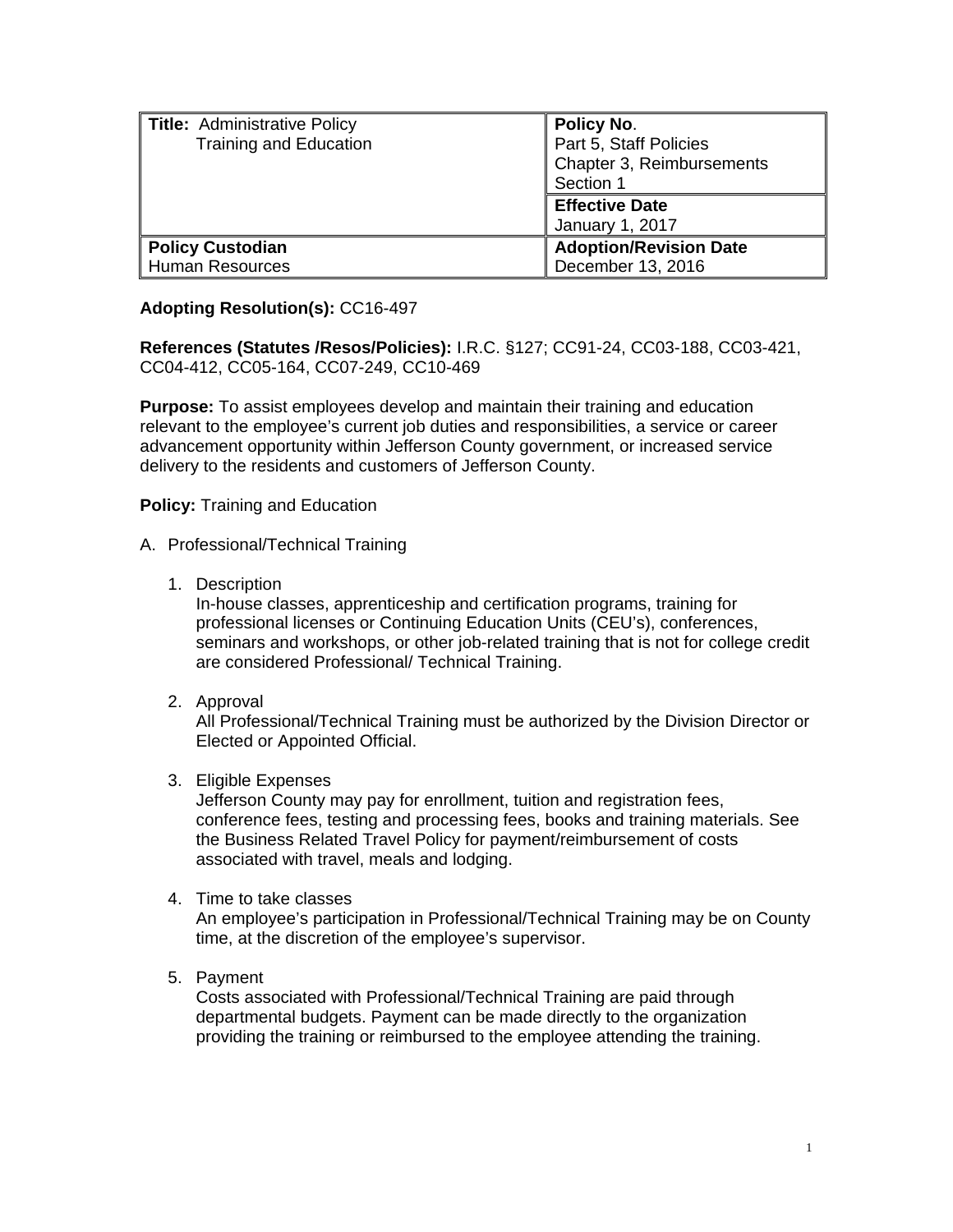| <b>Title:</b> Administrative Policy<br><b>Training and Education</b> | <b>Policy No.</b><br>Part 5, Staff Policies<br>Chapter 3, Reimbursements<br>Section 1 |
|----------------------------------------------------------------------|---------------------------------------------------------------------------------------|
|                                                                      | <b>Effective Date</b><br>January 1, 2017                                              |
| <b>Policy Custodian</b><br><b>Human Resources</b>                    | <b>Adoption/Revision Date</b><br>December 13, 2016                                    |

# **Adopting Resolution(s):** CC16-497

**References (Statutes /Resos/Policies):** I.R.C. §127; CC91-24, CC03-188, CC03-421, CC04-412, CC05-164, CC07-249, CC10-469

**Purpose:** To assist employees develop and maintain their training and education relevant to the employee's current job duties and responsibilities, a service or career advancement opportunity within Jefferson County government, or increased service delivery to the residents and customers of Jefferson County.

# **Policy:** Training and Education

# A. Professional/Technical Training

1. Description

In-house classes, apprenticeship and certification programs, training for professional licenses or Continuing Education Units (CEU's), conferences, seminars and workshops, or other job-related training that is not for college credit are considered Professional/ Technical Training.

2. Approval

All Professional/Technical Training must be authorized by the Division Director or Elected or Appointed Official.

3. Eligible Expenses

Jefferson County may pay for enrollment, tuition and registration fees, conference fees, testing and processing fees, books and training materials. See the Business Related Travel Policy for payment/reimbursement of costs associated with travel, meals and lodging.

4. Time to take classes

An employee's participation in Professional/Technical Training may be on County time, at the discretion of the employee's supervisor.

5. Payment

Costs associated with Professional/Technical Training are paid through departmental budgets. Payment can be made directly to the organization providing the training or reimbursed to the employee attending the training.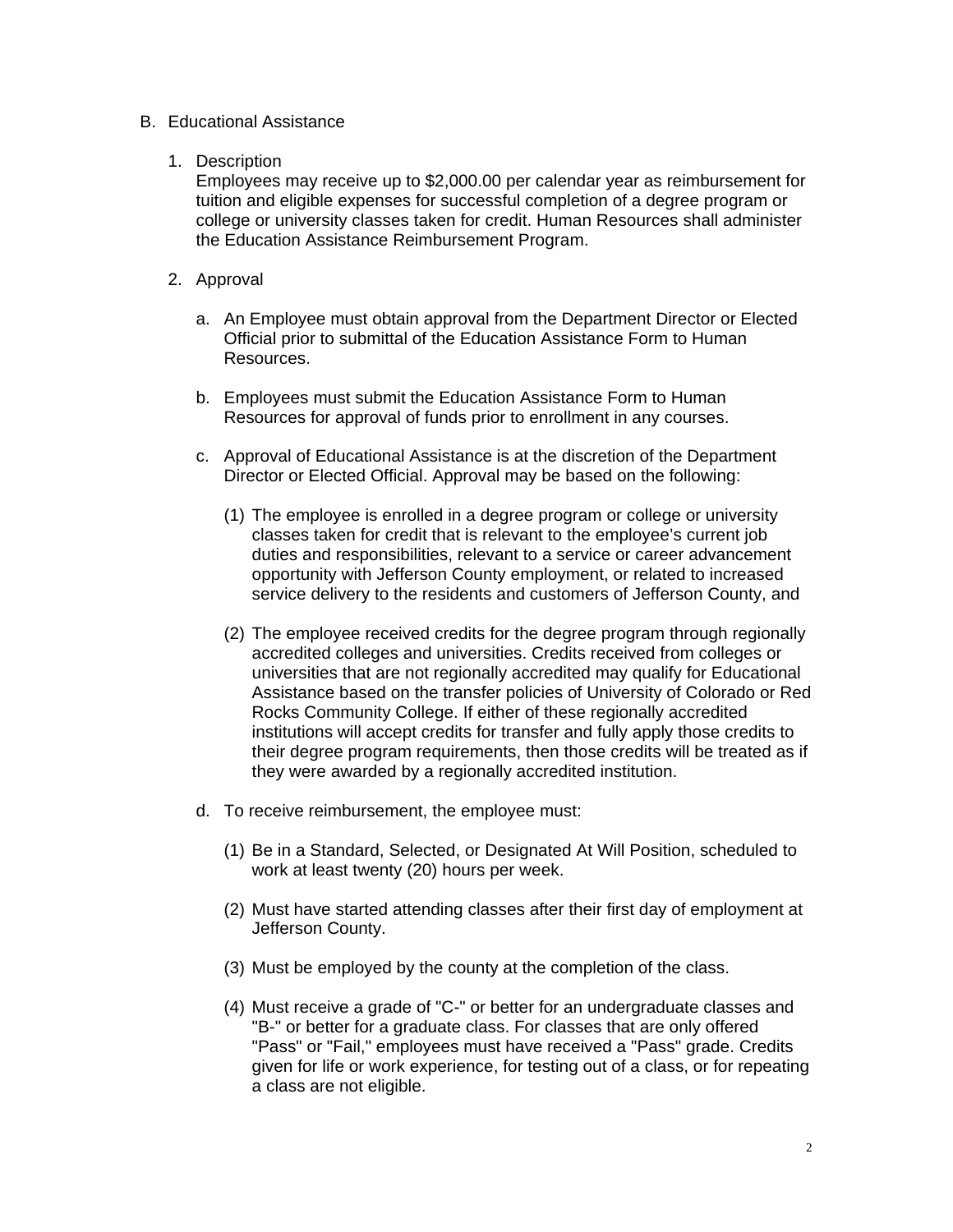#### B. Educational Assistance

#### 1. Description

Employees may receive up to \$2,000.00 per calendar year as reimbursement for tuition and eligible expenses for successful completion of a degree program or college or university classes taken for credit. Human Resources shall administer the Education Assistance Reimbursement Program.

- 2. Approval
	- a. An Employee must obtain approval from the Department Director or Elected Official prior to submittal of the Education Assistance Form to Human Resources.
	- b. Employees must submit the Education Assistance Form to Human Resources for approval of funds prior to enrollment in any courses.
	- c. Approval of Educational Assistance is at the discretion of the Department Director or Elected Official. Approval may be based on the following:
		- (1) The employee is enrolled in a degree program or college or university classes taken for credit that is relevant to the employee's current job duties and responsibilities, relevant to a service or career advancement opportunity with Jefferson County employment, or related to increased service delivery to the residents and customers of Jefferson County, and
		- (2) The employee received credits for the degree program through regionally accredited colleges and universities. Credits received from colleges or universities that are not regionally accredited may qualify for Educational Assistance based on the transfer policies of University of Colorado or Red Rocks Community College. If either of these regionally accredited institutions will accept credits for transfer and fully apply those credits to their degree program requirements, then those credits will be treated as if they were awarded by a regionally accredited institution.
	- d. To receive reimbursement, the employee must:
		- (1) Be in a Standard, Selected, or Designated At Will Position, scheduled to work at least twenty (20) hours per week.
		- (2) Must have started attending classes after their first day of employment at Jefferson County.
		- (3) Must be employed by the county at the completion of the class.
		- (4) Must receive a grade of "C-" or better for an undergraduate classes and "B-" or better for a graduate class. For classes that are only offered "Pass" or "Fail," employees must have received a "Pass" grade. Credits given for life or work experience, for testing out of a class, or for repeating a class are not eligible.